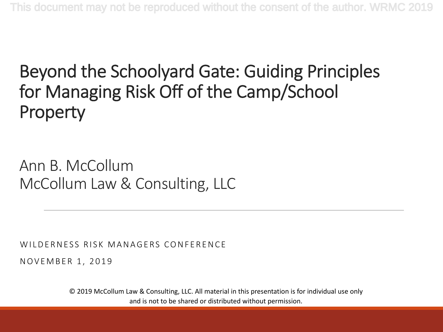#### Beyond the Schoolyard Gate: Guiding Principles for Managing Risk Off of the Camp/School Property

Ann B. McCollum McCollum Law & Consulting, LLC

WILDERNESS RISK MANAGERS CONFERENCE

NOVEMBER 1, 2019

© 2019 McCollum Law & Consulting, LLC. All material in this presentation is for individual use only and is not to be shared or distributed without permission.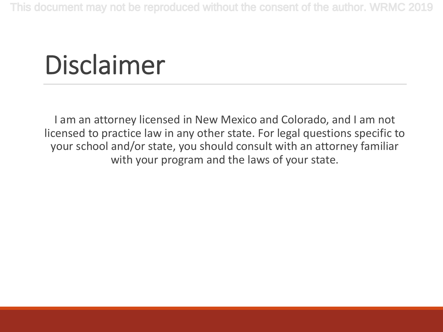## Disclaimer

I am an attorney licensed in New Mexico and Colorado, and I am not licensed to practice law in any other state. For legal questions specific to your school and/or state, you should consult with an attorney familiar with your program and the laws of your state.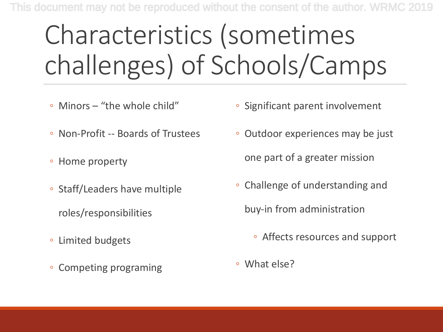# Characteristics (sometimes challenges) of Schools/Camps

- Minors "the whole child"
- Non-Profit -- Boards of Trustees
- Home property
- Staff/Leaders have multiple
	- roles/responsibilities
- Limited budgets
- Competing programing
- Significant parent involvement
- Outdoor experiences may be just one part of a greater mission
- Challenge of understanding and

buy-in from administration

- Affects resources and support
- What else?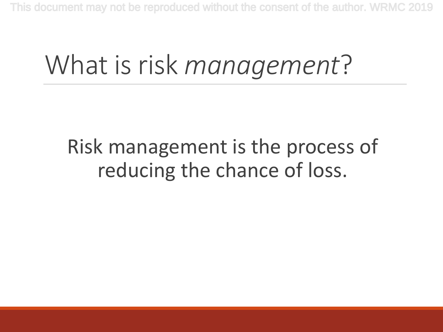## What is risk *management*?

#### Risk management is the process of reducing the chance of loss.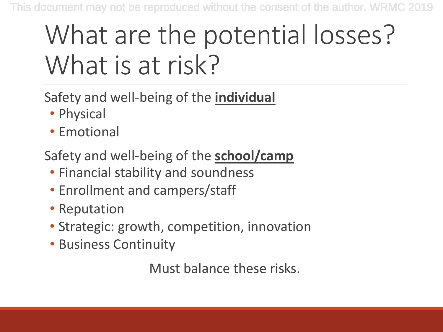## What are the potential losses? What is at risk?

Safety and well-being of the **individual**

- Physical
- Emotional

Safety and well-being of the **school/camp**

- Financial stability and soundness
- Enrollment and campers/staff
- Reputation
- Strategic: growth, competition, innovation
- Business Continuity

Must balance these risks.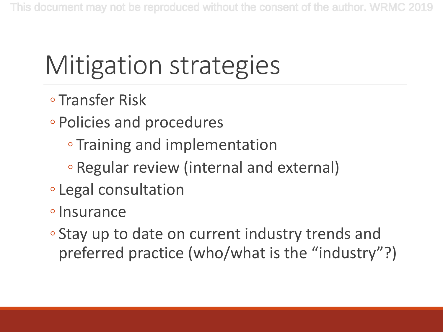## Mitigation strategies

- Transfer Risk
- Policies and procedures
	- Training and implementation
	- Regular review (internal and external)
- Legal consultation
- ◦Insurance
- Stay up to date on current industry trends and preferred practice (who/what is the "industry"?)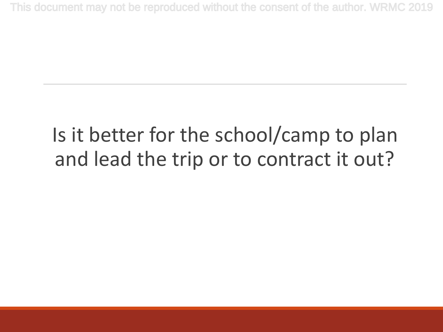#### Is it better for the school/camp to plan and lead the trip or to contract it out?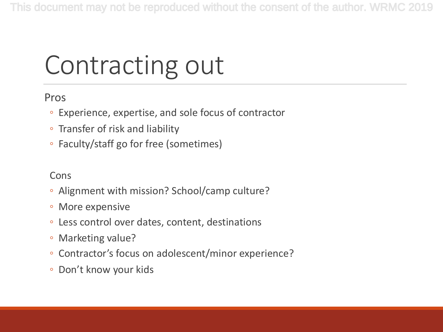# Contracting out

#### Pros

- Experience, expertise, and sole focus of contractor
- Transfer of risk and liability
- Faculty/staff go for free (sometimes)

#### Cons

- Alignment with mission? School/camp culture?
- More expensive
- Less control over dates, content, destinations
- Marketing value?
- Contractor's focus on adolescent/minor experience?
- Don't know your kids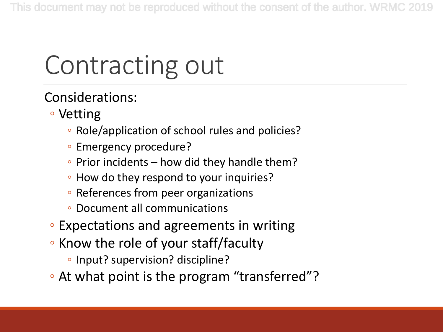# Contracting out

Considerations:

- Vetting
	- Role/application of school rules and policies?
	- Emergency procedure?
	- Prior incidents how did they handle them?
	- How do they respond to your inquiries?
	- References from peer organizations
	- Document all communications
- Expectations and agreements in writing
- Know the role of your staff/faculty
	- Input? supervision? discipline?
- At what point is the program "transferred"?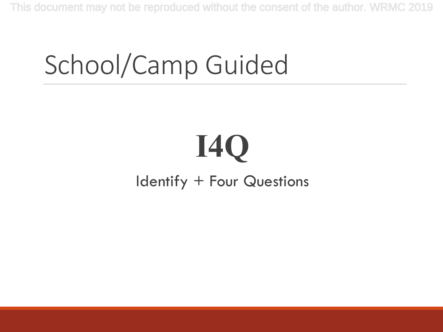### School/Camp Guided

## **I4Q** Identify + Four Questions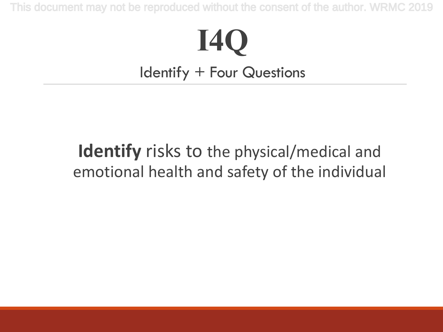### **I4Q** Identify + Four Questions

#### **Identify** risks to the physical/medical and emotional health and safety of the individual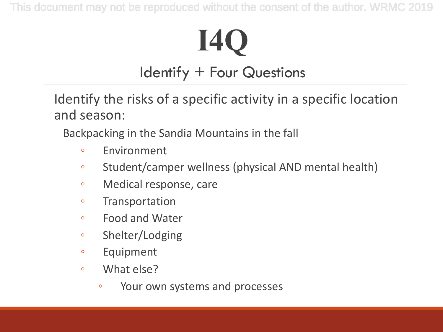# **I4Q**

#### Identify + Four Questions

Identify the risks of a specific activity in a specific location and season:

Backpacking in the Sandia Mountains in the fall

- Environment
- Student/camper wellness (physical AND mental health)
- Medical response, care
- Transportation
- Food and Water
- Shelter/Lodging
- Equipment
- What else?
	- Your own systems and processes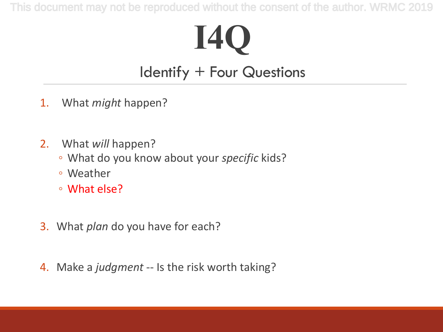### **I4Q** Identify + Four Questions

- 1. What *might* happen?
- 2. What *will* happen?
	- What do you know about your *specific* kids?
	- Weather
	- What else?
- 3. What *plan* do you have for each?
- 4. Make a *judgment* -- Is the risk worth taking?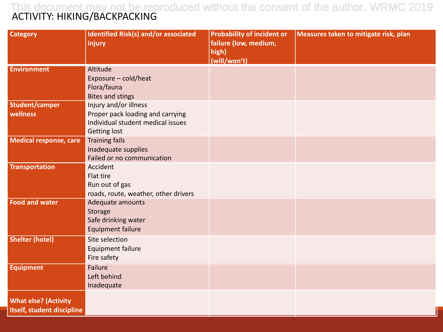#### ACTIVITY: HIKING/BACKPACKING This document may not be reproduced without the consent of the author. WRMC 2019

| <b>Category</b>             | <b>Identified Risk(s) and/or associated</b>       | <b>Probability of incident or</b> | Measures taken to mitigate risk, plan |
|-----------------------------|---------------------------------------------------|-----------------------------------|---------------------------------------|
|                             | injury                                            | failure (low, medium,             |                                       |
|                             |                                                   | high)<br>(will/won't)             |                                       |
| <b>Environment</b>          | Altitude                                          |                                   |                                       |
|                             | Exposure - cold/heat                              |                                   |                                       |
|                             | Flora/fauna                                       |                                   |                                       |
|                             | <b>Bites and stings</b>                           |                                   |                                       |
| <b>Student/camper</b>       | Injury and/or illness                             |                                   |                                       |
| wellness                    | Proper pack loading and carrying                  |                                   |                                       |
|                             | Individual student medical issues                 |                                   |                                       |
|                             | Getting lost                                      |                                   |                                       |
| Medical response, care      | <b>Training fails</b>                             |                                   |                                       |
|                             | Inadequate supplies<br>Failed or no communication |                                   |                                       |
| <b>Transportation</b>       | Accident                                          |                                   |                                       |
|                             | Flat tire                                         |                                   |                                       |
|                             | Run out of gas                                    |                                   |                                       |
|                             | roads, route, weather, other drivers              |                                   |                                       |
| <b>Food and water</b>       | Adequate amounts                                  |                                   |                                       |
|                             | Storage                                           |                                   |                                       |
|                             | Safe drinking water                               |                                   |                                       |
|                             | <b>Equipment failure</b>                          |                                   |                                       |
| <b>Shelter (hotel)</b>      | Site selection                                    |                                   |                                       |
|                             | <b>Equipment failure</b>                          |                                   |                                       |
|                             | Fire safety                                       |                                   |                                       |
| <b>Equipment</b>            | <b>Failure</b>                                    |                                   |                                       |
|                             | Left behind                                       |                                   |                                       |
|                             | Inadequate                                        |                                   |                                       |
| <b>What else? (Activity</b> |                                                   |                                   |                                       |
| Itself, student discipline  |                                                   |                                   |                                       |
|                             |                                                   |                                   |                                       |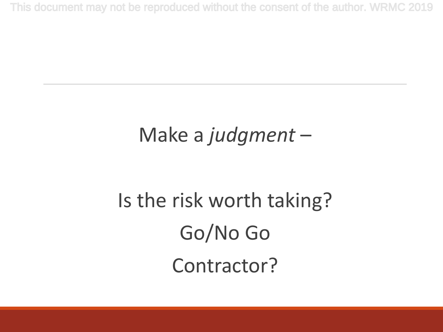#### Make a *judgment* –

## Is the risk worth taking? Go/No Go Contractor?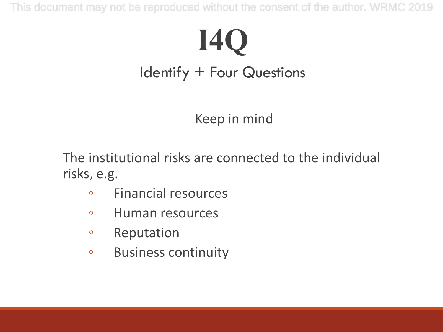# **I4Q**

#### Identify + Four Questions

#### Keep in mind

The institutional risks are connected to the individual risks, e.g.

- Financial resources
- Human resources
- Reputation
- Business continuity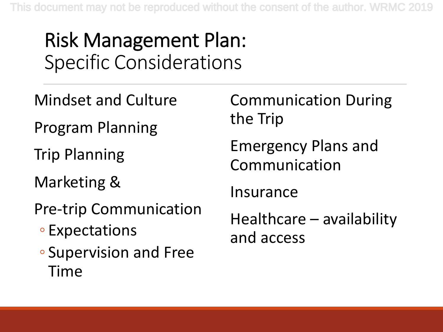#### Risk Management Plan: Specific Considerations

- Mindset and Culture
- Program Planning
- Trip Planning
- Marketing &
- Pre-trip Communication
	- Expectations
	- Supervision and Free Time

Communication During the Trip

Emergency Plans and Communication

Insurance

Healthcare – availability and access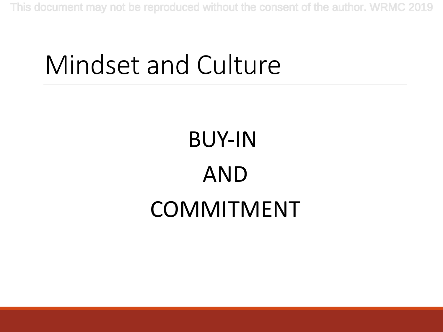### Mindset and Culture

# BUY-IN AND COMMITMENT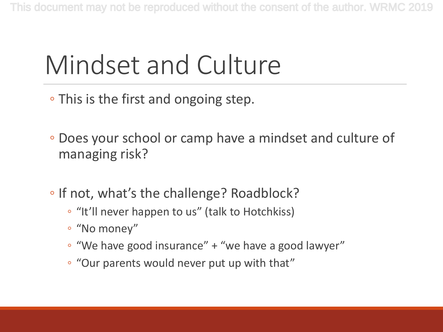## Mindset and Culture

- This is the first and ongoing step.
- Does your school or camp have a mindset and culture of managing risk?
- If not, what's the challenge? Roadblock?
	- "It'll never happen to us" (talk to Hotchkiss)
	- "No money"
	- "We have good insurance" + "we have a good lawyer"
	- "Our parents would never put up with that"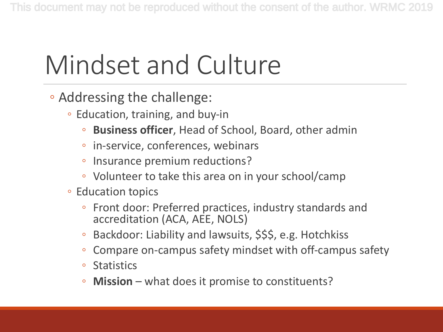## Mindset and Culture

- Addressing the challenge:
	- Education, training, and buy-in
		- **Business officer**, Head of School, Board, other admin
		- in-service, conferences, webinars
		- Insurance premium reductions?
		- Volunteer to take this area on in your school/camp
	- Education topics
		- Front door: Preferred practices, industry standards and accreditation (ACA, AEE, NOLS)
		- Backdoor: Liability and lawsuits, \$\$\$, e.g. Hotchkiss
		- Compare on-campus safety mindset with off-campus safety
		- Statistics
		- **Mission** what does it promise to constituents?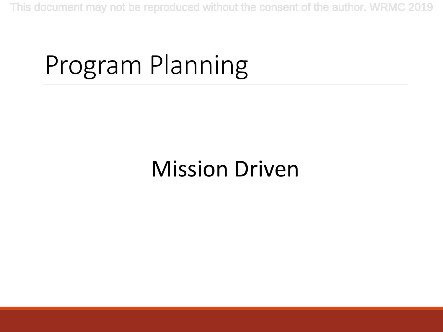## Program Planning

#### Mission Driven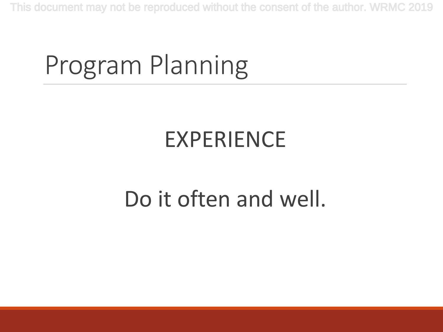### Program Planning

#### EXPERIENCE

#### Do it often and well.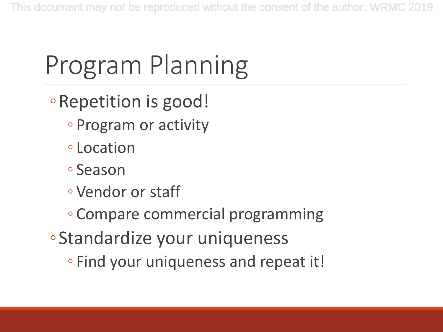# Program Planning

- ◦Repetition is good!
	- Program or activity
	- Location
	- Season
	- Vendor or staff
	- Compare commercial programming
- ◦Standardize your uniqueness
	- Find your uniqueness and repeat it!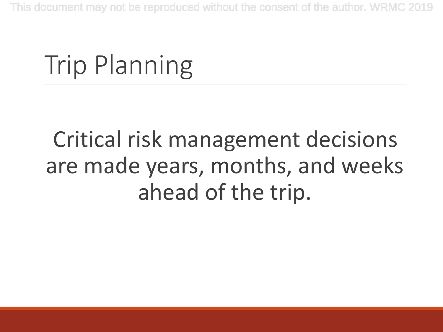### Trip Planning

#### Critical risk management decisions are made years, months, and weeks ahead of the trip.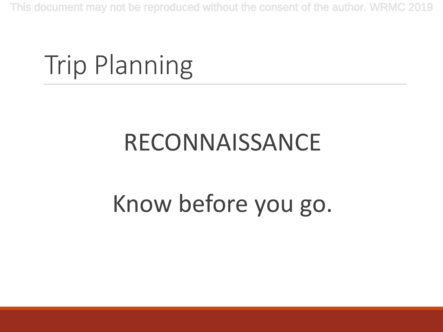### Trip Planning

### RECONNAISSANCE

### Know before you go.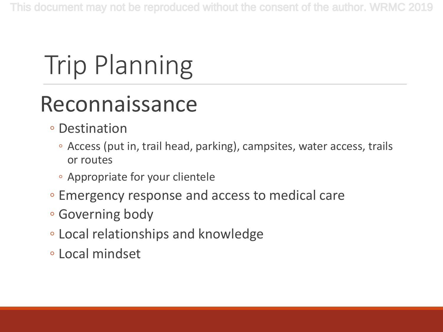# Trip Planning

#### Reconnaissance

- Destination
	- Access (put in, trail head, parking), campsites, water access, trails or routes
	- Appropriate for your clientele
- Emergency response and access to medical care
- Governing body
- Local relationships and knowledge
- Local mindset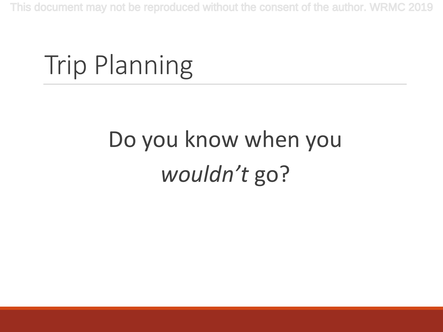### Trip Planning

## Do you know when you *wouldn't* go?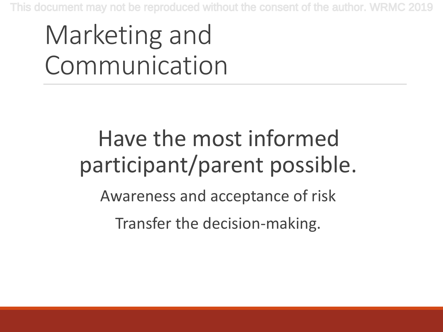## Marketing and Communication

#### Have the most informed participant/parent possible.

Awareness and acceptance of risk

Transfer the decision-making.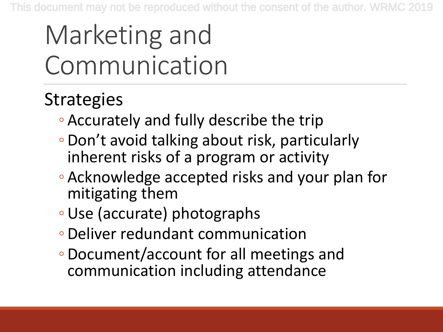## Marketing and Communication

#### **Strategies**

- Accurately and fully describe the trip
- Don't avoid talking about risk, particularly inherent risks of a program or activity
- Acknowledge accepted risks and your plan for mitigating them
- ◦Use (accurate) photographs
- Deliver redundant communication
- Document/account for all meetings and communication including attendance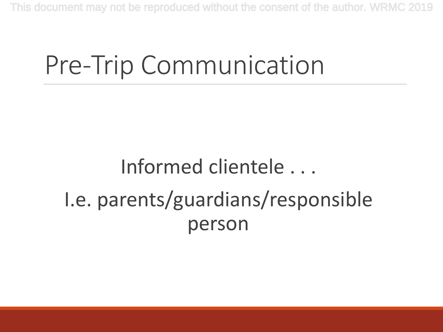### Pre-Trip Communication

#### Informed clientele . . . I.e. parents/guardians/responsible person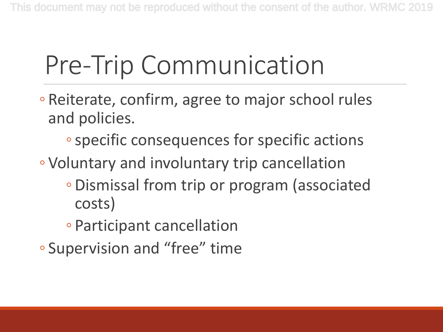## Pre-Trip Communication

- Reiterate, confirm, agree to major school rules and policies.
	- ◦specific consequences for specific actions
- Voluntary and involuntary trip cancellation
	- Dismissal from trip or program (associated costs)
	- Participant cancellation
- Supervision and "free" time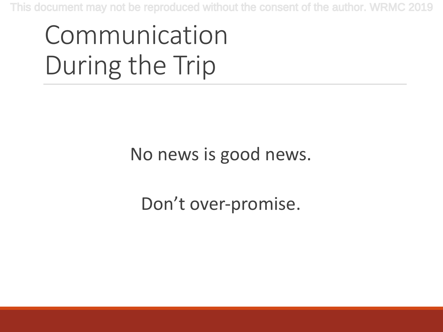## Communication During the Trip

#### No news is good news.

#### Don't over-promise.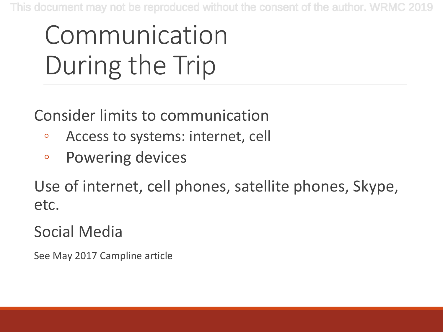# Communication During the Trip

Consider limits to communication

- Access to systems: internet, cell
- Powering devices

Use of internet, cell phones, satellite phones, Skype, etc.

#### Social Media

See May 2017 Campline article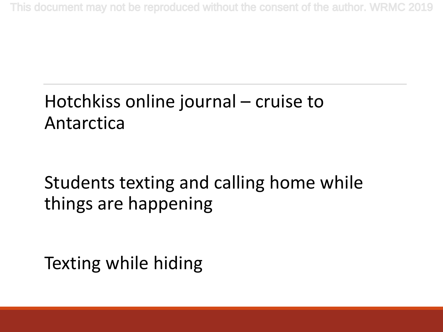#### Hotchkiss online journal – cruise to Antarctica

#### Students texting and calling home while things are happening

Texting while hiding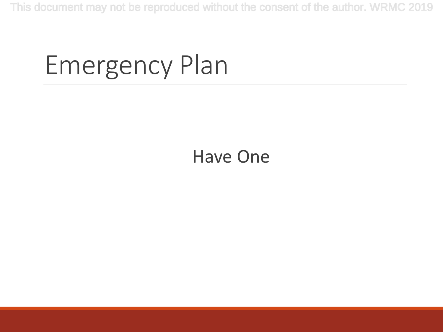### Emergency Plan

#### Have One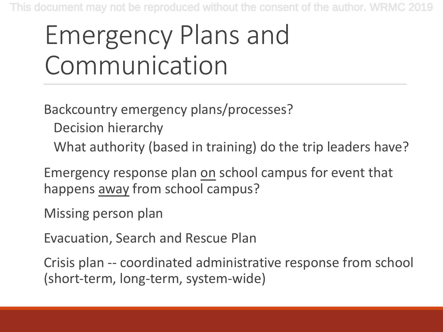## Emergency Plans and Communication

Backcountry emergency plans/processes?

- Decision hierarchy
- What authority (based in training) do the trip leaders have?

Emergency response plan on school campus for event that happens away from school campus?

Missing person plan

Evacuation, Search and Rescue Plan

Crisis plan -- coordinated administrative response from school (short-term, long-term, system-wide)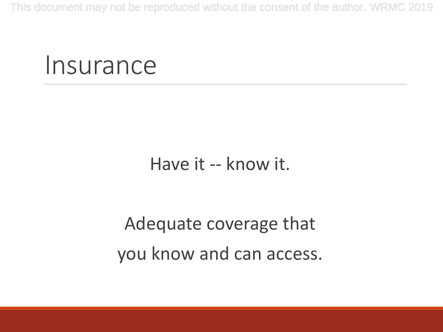#### Insurance

#### Have it -- know it.

#### Adequate coverage that you know and can access.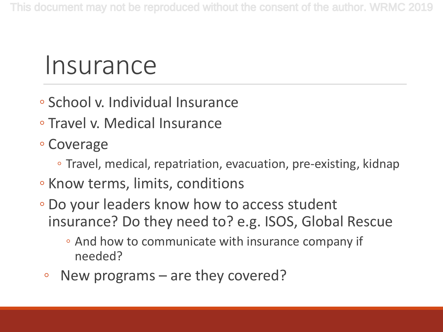#### Insurance

- School v. Individual Insurance
- Travel v. Medical Insurance
- Coverage
	- Travel, medical, repatriation, evacuation, pre-existing, kidnap
- Know terms, limits, conditions
- Do your leaders know how to access student insurance? Do they need to? e.g. ISOS, Global Rescue
	- And how to communicate with insurance company if needed?
	- New programs are they covered?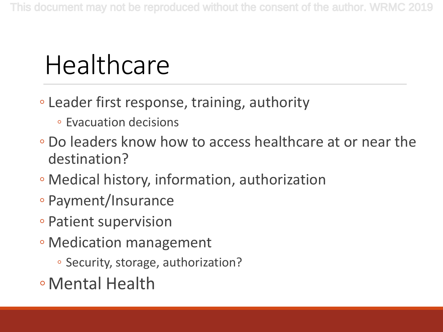## Healthcare

- Leader first response, training, authority
	- Evacuation decisions
- Do leaders know how to access healthcare at or near the destination?
- Medical history, information, authorization
- Payment/Insurance
- Patient supervision
- Medication management
	- Security, storage, authorization?
- ◦Mental Health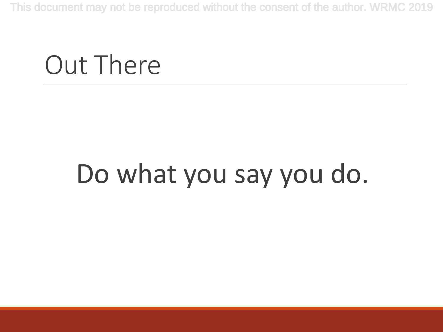#### Out There

## Do what you say you do.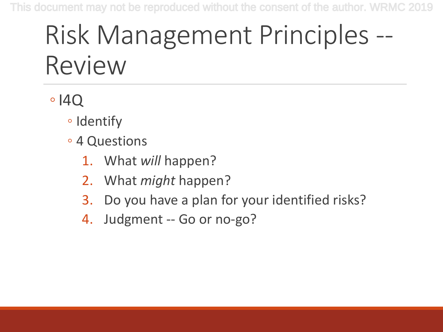## Risk Management Principles -- Review

#### $\circ$  |4Q

- Identify
- 4 Questions
	- 1. What *will* happen?
	- 2. What *might* happen?
	- 3. Do you have a plan for your identified risks?
	- 4. Judgment -- Go or no-go?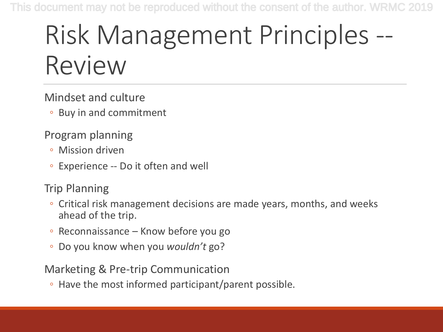## Risk Management Principles -- Review

Mindset and culture

◦ Buy in and commitment

Program planning

- Mission driven
- Experience -- Do it often and well

Trip Planning

- Critical risk management decisions are made years, months, and weeks ahead of the trip.
- Reconnaissance Know before you go
- Do you know when you *wouldn't* go?

Marketing & Pre-trip Communication

◦ Have the most informed participant/parent possible.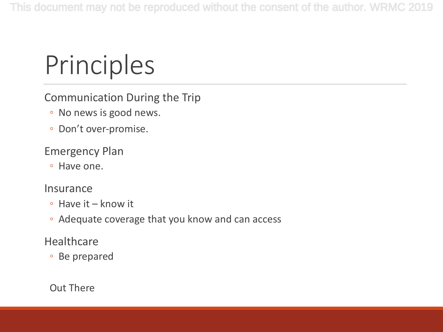## Principles

#### Communication During the Trip

- No news is good news.
- Don't over-promise.

#### Emergency Plan

◦ Have one.

#### Insurance

- Have it know it
- Adequate coverage that you know and can access

#### **Healthcare**

◦ Be prepared